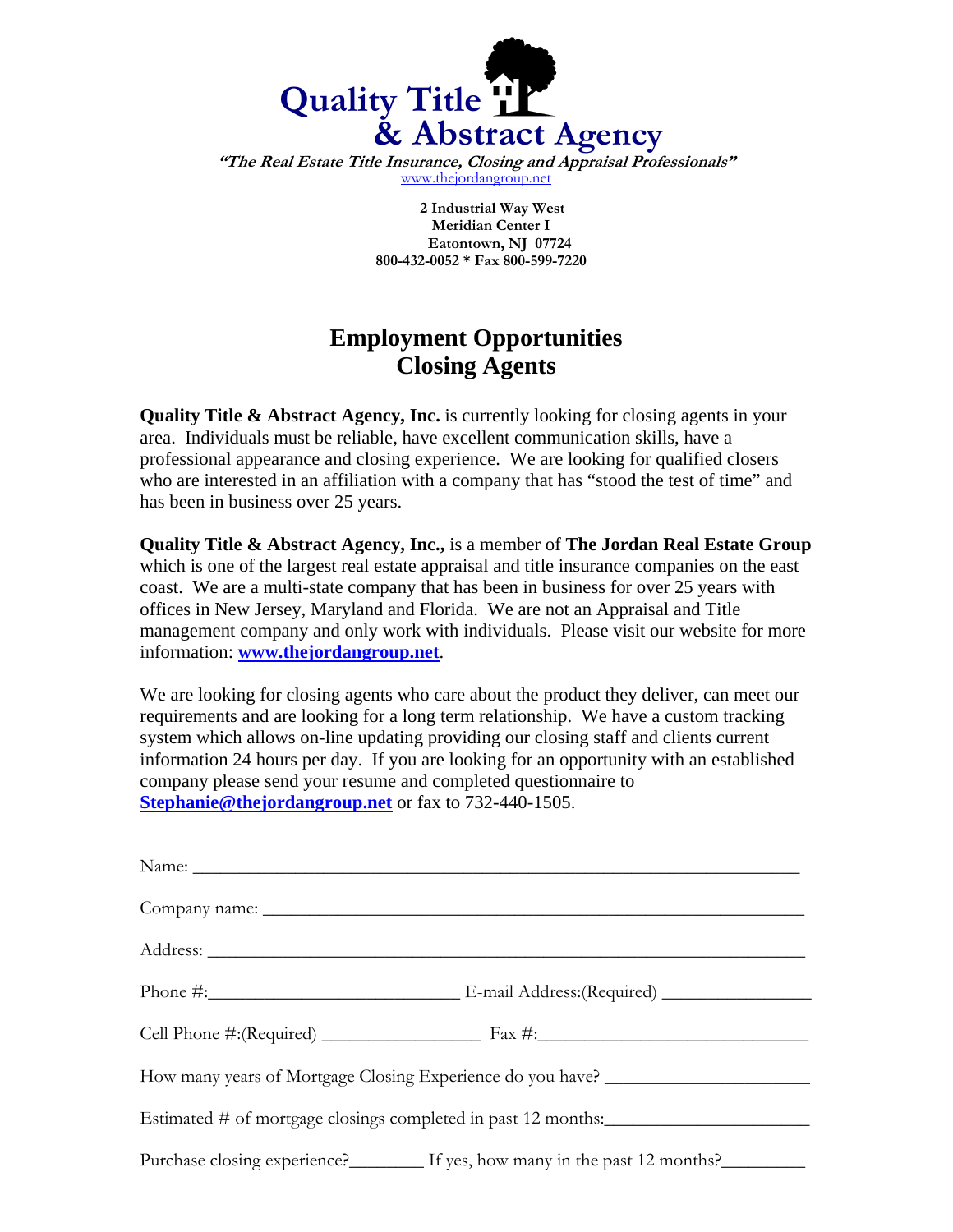

**"The Real Estate Title Insurance, Closing and Appraisal Professionals"**  www.thejordangroup.net

> **2 Industrial Way West Meridian Center I Eatontown, NJ 07724 800-432-0052 \* Fax 800-599-7220**

## **Employment Opportunities Closing Agents**

**Quality Title & Abstract Agency, Inc.** is currently looking for closing agents in your area. Individuals must be reliable, have excellent communication skills, have a professional appearance and closing experience. We are looking for qualified closers who are interested in an affiliation with a company that has "stood the test of time" and has been in business over 25 years.

**Quality Title & Abstract Agency, Inc.,** is a member of **The Jordan Real Estate Group** which is one of the largest real estate appraisal and title insurance companies on the east coast. We are a multi-state company that has been in business for over 25 years with offices in New Jersey, Maryland and Florida. We are not an Appraisal and Title management company and only work with individuals. Please visit our website for more information: **www.thejordangroup.net**.

We are looking for closing agents who care about the product they deliver, can meet our requirements and are looking for a long term relationship. We have a custom tracking system which allows on-line updating providing our closing staff and clients current information 24 hours per day. If you are looking for an opportunity with an established company please send your resume and completed questionnaire to **Stephanie@thejordangroup.net** or fax to 732-440-1505.

| How many years of Mortgage Closing Experience do you have? _____________________ |                                                                      |  |
|----------------------------------------------------------------------------------|----------------------------------------------------------------------|--|
| Estimated # of mortgage closings completed in past 12 months:                    |                                                                      |  |
|                                                                                  | Purchase closing experience? If yes, how many in the past 12 months? |  |